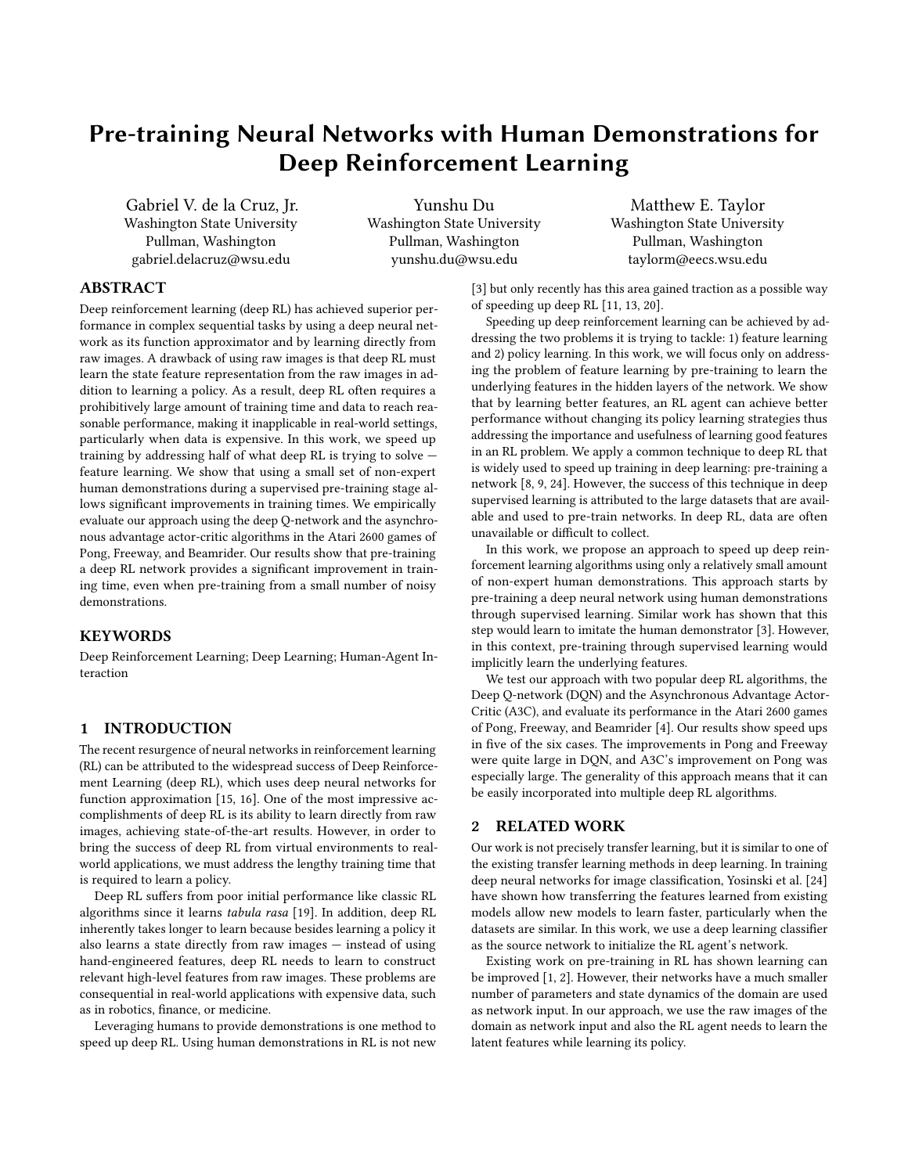# Pre-training Neural Networks with Human Demonstrations for Deep Reinforcement Learning

Gabriel V. de la Cruz, Jr. Washington State University Pullman, Washington gabriel.delacruz@wsu.edu

Yunshu Du Washington State University Pullman, Washington yunshu.du@wsu.edu

Matthew E. Taylor Washington State University Pullman, Washington taylorm@eecs.wsu.edu

## ABSTRACT

Deep reinforcement learning (deep RL) has achieved superior performance in complex sequential tasks by using a deep neural network as its function approximator and by learning directly from raw images. A drawback of using raw images is that deep RL must learn the state feature representation from the raw images in addition to learning a policy. As a result, deep RL often requires a prohibitively large amount of training time and data to reach reasonable performance, making it inapplicable in real-world settings, particularly when data is expensive. In this work, we speed up training by addressing half of what deep RL is trying to solve feature learning. We show that using a small set of non-expert human demonstrations during a supervised pre-training stage allows significant improvements in training times. We empirically evaluate our approach using the deep Q-network and the asynchronous advantage actor-critic algorithms in the Atari 2600 games of Pong, Freeway, and Beamrider. Our results show that pre-training a deep RL network provides a significant improvement in training time, even when pre-training from a small number of noisy demonstrations.

# KEYWORDS

Deep Reinforcement Learning; Deep Learning; Human-Agent Interaction

## 1 INTRODUCTION

The recent resurgence of neural networks in reinforcement learning (RL) can be attributed to the widespread success of Deep Reinforcement Learning (deep RL), which uses deep neural networks for function approximation [\[15,](#page-7-0) [16\]](#page-7-1). One of the most impressive accomplishments of deep RL is its ability to learn directly from raw images, achieving state-of-the-art results. However, in order to bring the success of deep RL from virtual environments to realworld applications, we must address the lengthy training time that is required to learn a policy.

Deep RL suffers from poor initial performance like classic RL algorithms since it learns tabula rasa [\[19\]](#page-7-2). In addition, deep RL inherently takes longer to learn because besides learning a policy it also learns a state directly from raw images — instead of using hand-engineered features, deep RL needs to learn to construct relevant high-level features from raw images. These problems are consequential in real-world applications with expensive data, such as in robotics, finance, or medicine.

Leveraging humans to provide demonstrations is one method to speed up deep RL. Using human demonstrations in RL is not new

[\[3\]](#page-7-3) but only recently has this area gained traction as a possible way of speeding up deep RL [\[11,](#page-7-4) [13,](#page-7-5) [20\]](#page-7-6).

Speeding up deep reinforcement learning can be achieved by addressing the two problems it is trying to tackle: 1) feature learning and 2) policy learning. In this work, we will focus only on addressing the problem of feature learning by pre-training to learn the underlying features in the hidden layers of the network. We show that by learning better features, an RL agent can achieve better performance without changing its policy learning strategies thus addressing the importance and usefulness of learning good features in an RL problem. We apply a common technique to deep RL that is widely used to speed up training in deep learning: pre-training a network [\[8,](#page-7-7) [9,](#page-7-8) [24\]](#page-7-9). However, the success of this technique in deep supervised learning is attributed to the large datasets that are available and used to pre-train networks. In deep RL, data are often unavailable or difficult to collect.

In this work, we propose an approach to speed up deep reinforcement learning algorithms using only a relatively small amount of non-expert human demonstrations. This approach starts by pre-training a deep neural network using human demonstrations through supervised learning. Similar work has shown that this step would learn to imitate the human demonstrator [\[3\]](#page-7-3). However, in this context, pre-training through supervised learning would implicitly learn the underlying features.

We test our approach with two popular deep RL algorithms, the Deep Q-network (DQN) and the Asynchronous Advantage Actor-Critic (A3C), and evaluate its performance in the Atari 2600 games of Pong, Freeway, and Beamrider [\[4\]](#page-7-10). Our results show speed ups in five of the six cases. The improvements in Pong and Freeway were quite large in DQN, and A3C's improvement on Pong was especially large. The generality of this approach means that it can be easily incorporated into multiple deep RL algorithms.

#### 2 RELATED WORK

Our work is not precisely transfer learning, but it is similar to one of the existing transfer learning methods in deep learning. In training deep neural networks for image classification, Yosinski et al. [\[24\]](#page-7-9) have shown how transferring the features learned from existing models allow new models to learn faster, particularly when the datasets are similar. In this work, we use a deep learning classifier as the source network to initialize the RL agent's network.

Existing work on pre-training in RL has shown learning can be improved [\[1,](#page-7-11) [2\]](#page-7-12). However, their networks have a much smaller number of parameters and state dynamics of the domain are used as network input. In our approach, we use the raw images of the domain as network input and also the RL agent needs to learn the latent features while learning its policy.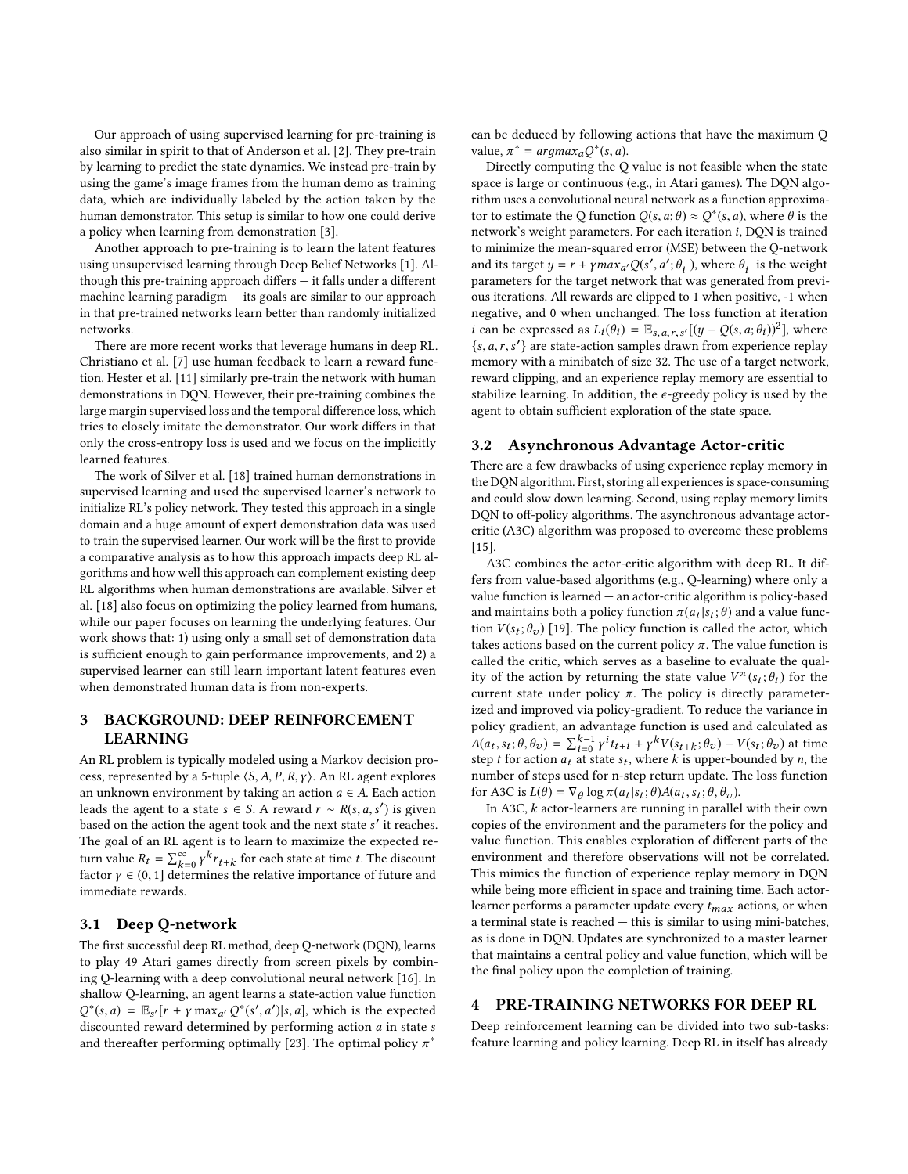Our approach of using supervised learning for pre-training is also similar in spirit to that of Anderson et al. [\[2\]](#page-7-12). They pre-train by learning to predict the state dynamics. We instead pre-train by using the game's image frames from the human demo as training data, which are individually labeled by the action taken by the human demonstrator. This setup is similar to how one could derive a policy when learning from demonstration [\[3\]](#page-7-3).

Another approach to pre-training is to learn the latent features using unsupervised learning through Deep Belief Networks [\[1\]](#page-7-11). Although this pre-training approach differs — it falls under a different machine learning paradigm  $-$  its goals are similar to our approach in that pre-trained networks learn better than randomly initialized networks.

There are more recent works that leverage humans in deep RL. Christiano et al. [\[7\]](#page-7-13) use human feedback to learn a reward function. Hester et al. [\[11\]](#page-7-4) similarly pre-train the network with human demonstrations in DQN. However, their pre-training combines the large margin supervised loss and the temporal difference loss, which tries to closely imitate the demonstrator. Our work differs in that only the cross-entropy loss is used and we focus on the implicitly learned features.

The work of Silver et al. [\[18\]](#page-7-14) trained human demonstrations in supervised learning and used the supervised learner's network to initialize RL's policy network. They tested this approach in a single domain and a huge amount of expert demonstration data was used to train the supervised learner. Our work will be the first to provide a comparative analysis as to how this approach impacts deep RL algorithms and how well this approach can complement existing deep RL algorithms when human demonstrations are available. Silver et al. [\[18\]](#page-7-14) also focus on optimizing the policy learned from humans, while our paper focuses on learning the underlying features. Our work shows that: 1) using only a small set of demonstration data is sufficient enough to gain performance improvements, and 2) a supervised learner can still learn important latent features even when demonstrated human data is from non-experts.

## 3 BACKGROUND: DEEP REINFORCEMENT LEARNING

An RL problem is typically modeled using a Markov decision process, represented by a 5-tuple  $\langle S, A, P, R, \gamma \rangle$ . An RL agent explores an unknown environment by taking an action  $a \in A$ . Each action leads the agent to a state  $s \in S$ . A reward  $r \sim R(s, a, s')$  is given<br>based on the action the agent took and the next state s' it reaches based on the action the agent took and the next state s' it reaches.<br>The goal of an EI agent is to learn to maximize the expected re-The goal of an RL agent is to learn to maximize the expected return value  $R_t = \sum_{k=0}^{\infty} \gamma^k r_{t+k}$  for each state at time t. The discount factor  $\gamma \in (0, 1]$  determines the relative importance of future and<br>immediate rewards immediate rewards.

### 3.1 Deep Q-network

The first successful deep RL method, deep Q-network (DQN), learns to play 49 Atari games directly from screen pixels by combining Q-learning with a deep convolutional neural network [\[16\]](#page-7-1). In shallow Q-learning, an agent learns a state-action value function  $\frac{d}{dx}$  (sounted reward determined by performing action a in state s<br>and there the performing optimally [23]. The optimal policy  $\pi^*$ <sup>\*</sup>(s, a) =  $\mathbb{E}_{S'}[r + \gamma \max_{a'} Q^*(s', a') | s, a]$ , which is the expected is counted reward determined by performing action a in state s and thereafter performing optimally [\[23\]](#page-7-15). The optimal policy  $\pi^*$ 

can be deduced by following actions that have the maximum Q value,  $\pi^* = \argmax_a Q^*(s, a)$ .<br>Directly computing the O

Directly computing the Q value is not feasible when the state space is large or continuous (e.g., in Atari games). The DQN algorithm uses a convolutional neural network as a function approximator to estimate the Q function  $Q(s, a; \theta) \approx Q^*(s, a)$ , where  $\theta$  is the network's weight parameters. For each iteration i, DON is trained network's weight parameters. For each iteration i, DQN is trained to minimize the mean-squared error (MSE) between the Q-network and its target  $y = r + \gamma max_{a'} Q(s', a'; \theta_i^-)$ , where  $\theta_i^-$  is the weight parameters for the target network that was generated from previous iterations. All rewards are clipped to 1 when positive, -1 when negative, and 0 when unchanged. The loss function at iteration *i* can be expressed as  $L_i(\theta_i) = \mathbb{E}_{s,a,r,s'}[(y - Q(s, a; \theta_i))^2]$ , where  $\{s, a, r, s'\}$  are state-action samples drawn from experience replay<br>memory with a minibatch of size 32. The use of a target network memory with a minibatch of size 32. The use of a target network, reward clipping, and an experience replay memory are essential to stabilize learning. In addition, the  $\epsilon$ -greedy policy is used by the agent to obtain sufficient exploration of the state space.

#### 3.2 Asynchronous Advantage Actor-critic

There are a few drawbacks of using experience replay memory in the DQN algorithm. First, storing all experiences is space-consuming and could slow down learning. Second, using replay memory limits DQN to off-policy algorithms. The asynchronous advantage actorcritic (A3C) algorithm was proposed to overcome these problems [\[15\]](#page-7-0).

A3C combines the actor-critic algorithm with deep RL. It differs from value-based algorithms (e.g., Q-learning) where only a value function is learned — an actor-critic algorithm is policy-based and maintains both a policy function  $\pi(a_t|s_t;\theta)$  and a value function  $V(s;\theta)$  [19]. The policy function is called the actor which tion  $V(s_t; \theta_v)$  [\[19\]](#page-7-2). The policy function is called the actor, which takes actions based on the current policy  $\pi$ . The value function is takes actions based on the current policy  $\pi$ . The value function is called the critic, which serves as a baseline to evaluate the quality of the action by returning the state value  $V^{\pi}(s_t; \theta_t)$  for the current state under policy  $\pi$ . The policy is directly parametercurrent state under policy  $\pi$ . The policy is directly parameterized and improved via policy-gradient. To reduce the variance in policy gradient, an advantage function is used and calculated as  $A(a_t, s_t; \theta, \theta_v) = \sum_{i=0}^{k-1} \gamma^i t_{t+i} + \gamma^k V(s_{t+k}; \theta_v) - V(s_t; \theta_v)$  at time  $\Delta(u_t, s_t, v, v_v) = \Delta_{i=0} \gamma u_{t+i} + \gamma v_{s+t,k} v_v$  =  $v_{s,t} v_v$  at time<br>step t for action  $a_t$  at state  $s_t$ , where k is upper-bounded by n, the number of steps used for n-step return update. The loss function for A3C is  $L(\theta) = \nabla_{\theta} \log \pi(a_t | s_t; \theta) A(a_t, s_t; \theta, \theta_v)$ .<br>In A3C k actor-learners are running in parallel

In A3C, k actor-learners are running in parallel with their own copies of the environment and the parameters for the policy and value function. This enables exploration of different parts of the environment and therefore observations will not be correlated. This mimics the function of experience replay memory in DQN while being more efficient in space and training time. Each actorlearner performs a parameter update every  $t_{max}$  actions, or when a terminal state is reached — this is similar to using mini-batches, as is done in DQN. Updates are synchronized to a master learner that maintains a central policy and value function, which will be the final policy upon the completion of training.

#### 4 PRE-TRAINING NETWORKS FOR DEEP RL

Deep reinforcement learning can be divided into two sub-tasks: feature learning and policy learning. Deep RL in itself has already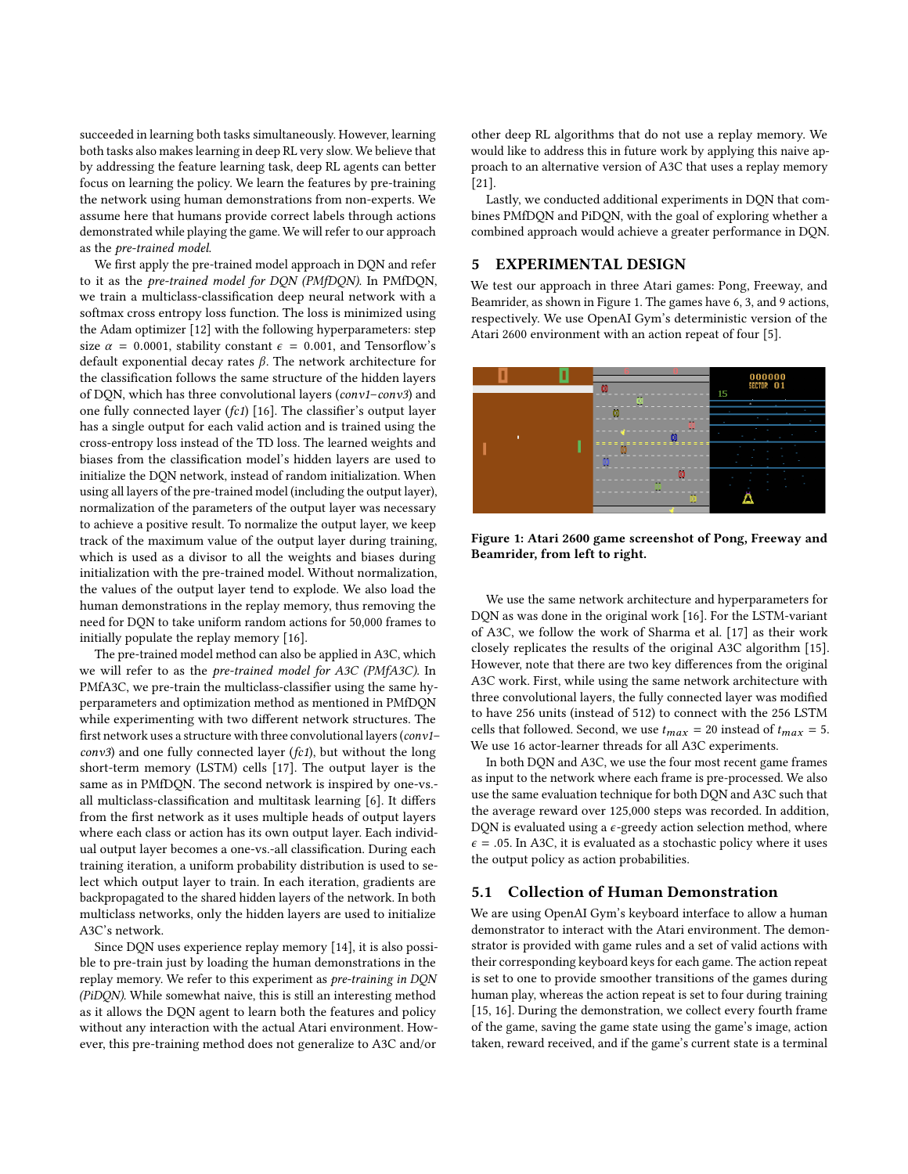succeeded in learning both tasks simultaneously. However, learning both tasks also makes learning in deep RL very slow. We believe that by addressing the feature learning task, deep RL agents can better focus on learning the policy. We learn the features by pre-training the network using human demonstrations from non-experts. We assume here that humans provide correct labels through actions demonstrated while playing the game. We will refer to our approach as the pre-trained model.

We first apply the pre-trained model approach in DQN and refer to it as the pre-trained model for DQN (PMfDQN). In PMfDQN, we train a multiclass-classification deep neural network with a softmax cross entropy loss function. The loss is minimized using the Adam optimizer [\[12\]](#page-7-16) with the following hyperparameters: step size  $\alpha = 0.0001$ , stability constant  $\epsilon = 0.001$ , and Tensorflow's default exponential decay rates β. The network architecture for the classification follows the same structure of the hidden layers of DQN, which has three convolutional layers (conv1–conv3) and one fully connected layer (fc1) [\[16\]](#page-7-1). The classifier's output layer has a single output for each valid action and is trained using the cross-entropy loss instead of the TD loss. The learned weights and biases from the classification model's hidden layers are used to initialize the DQN network, instead of random initialization. When using all layers of the pre-trained model (including the output layer), normalization of the parameters of the output layer was necessary to achieve a positive result. To normalize the output layer, we keep track of the maximum value of the output layer during training, which is used as a divisor to all the weights and biases during initialization with the pre-trained model. Without normalization, the values of the output layer tend to explode. We also load the human demonstrations in the replay memory, thus removing the need for DQN to take uniform random actions for 50,000 frames to initially populate the replay memory [\[16\]](#page-7-1).

The pre-trained model method can also be applied in A3C, which we will refer to as the pre-trained model for A3C (PMfA3C). In PMfA3C, we pre-train the multiclass-classifier using the same hyperparameters and optimization method as mentioned in PMfDQN while experimenting with two different network structures. The first network uses a structure with three convolutional layers (conv1– conv3) and one fully connected layer (fc1), but without the long short-term memory (LSTM) cells [\[17\]](#page-7-17). The output layer is the same as in PMfDQN. The second network is inspired by one-vs. all multiclass-classification and multitask learning [\[6\]](#page-7-18). It differs from the first network as it uses multiple heads of output layers where each class or action has its own output layer. Each individual output layer becomes a one-vs.-all classification. During each training iteration, a uniform probability distribution is used to select which output layer to train. In each iteration, gradients are backpropagated to the shared hidden layers of the network. In both multiclass networks, only the hidden layers are used to initialize A3C's network.

Since DQN uses experience replay memory [\[14\]](#page-7-19), it is also possible to pre-train just by loading the human demonstrations in the replay memory. We refer to this experiment as pre-training in DQN (PiDQN). While somewhat naive, this is still an interesting method as it allows the DQN agent to learn both the features and policy without any interaction with the actual Atari environment. However, this pre-training method does not generalize to A3C and/or

other deep RL algorithms that do not use a replay memory. We would like to address this in future work by applying this naive approach to an alternative version of A3C that uses a replay memory [\[21\]](#page-7-20).

Lastly, we conducted additional experiments in DQN that combines PMfDQN and PiDQN, with the goal of exploring whether a combined approach would achieve a greater performance in DQN.

## 5 EXPERIMENTAL DESIGN

We test our approach in three Atari games: Pong, Freeway, and Beamrider, as shown in Figure [1.](#page-2-0) The games have 6, 3, and 9 actions, respectively. We use OpenAI Gym's deterministic version of the Atari 2600 environment with an action repeat of four [\[5\]](#page-7-21).

<span id="page-2-0"></span>

Figure 1: Atari 2600 game screenshot of Pong, Freeway and Beamrider, from left to right.

We use the same network architecture and hyperparameters for DQN as was done in the original work [\[16\]](#page-7-1). For the LSTM-variant of A3C, we follow the work of Sharma et al. [\[17\]](#page-7-17) as their work closely replicates the results of the original A3C algorithm [\[15\]](#page-7-0). However, note that there are two key differences from the original A3C work. First, while using the same network architecture with three convolutional layers, the fully connected layer was modified to have 256 units (instead of 512) to connect with the 256 LSTM cells that followed. Second, we use  $t_{max} = 20$  instead of  $t_{max} = 5$ . We use 16 actor-learner threads for all A3C experiments.

In both DQN and A3C, we use the four most recent game frames as input to the network where each frame is pre-processed. We also use the same evaluation technique for both DQN and A3C such that the average reward over 125,000 steps was recorded. In addition, DQN is evaluated using a  $\epsilon$ -greedy action selection method, where  $\epsilon$  = .05. In A3C, it is evaluated as a stochastic policy where it uses the output policy as action probabilities.

## 5.1 Collection of Human Demonstration

We are using OpenAI Gym's keyboard interface to allow a human demonstrator to interact with the Atari environment. The demonstrator is provided with game rules and a set of valid actions with their corresponding keyboard keys for each game. The action repeat is set to one to provide smoother transitions of the games during human play, whereas the action repeat is set to four during training [\[15,](#page-7-0) [16\]](#page-7-1). During the demonstration, we collect every fourth frame of the game, saving the game state using the game's image, action taken, reward received, and if the game's current state is a terminal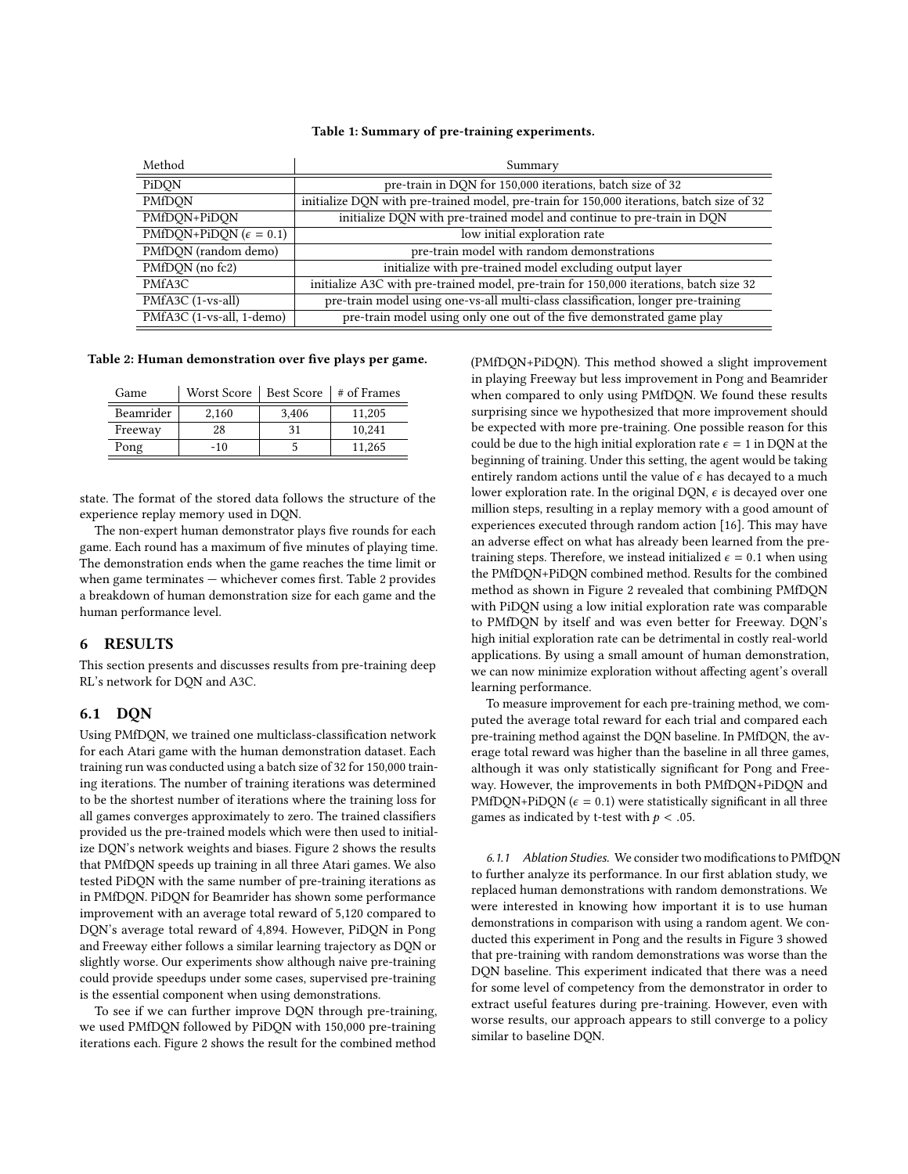#### Table 1: Summary of pre-training experiments.

| Method                           | Summary                                                                                   |  |  |
|----------------------------------|-------------------------------------------------------------------------------------------|--|--|
| PiDQN                            | pre-train in DON for 150,000 iterations, batch size of 32                                 |  |  |
| PMfDON                           | initialize DQN with pre-trained model, pre-train for 150,000 iterations, batch size of 32 |  |  |
| PMfDON+PiDON                     | initialize DQN with pre-trained model and continue to pre-train in DQN                    |  |  |
| PMfDQN+PiDQN ( $\epsilon$ = 0.1) | low initial exploration rate                                                              |  |  |
| PMfDQN (random demo)             | pre-train model with random demonstrations                                                |  |  |
| PMfDQN (no fc2)                  | initialize with pre-trained model excluding output layer                                  |  |  |
| PMfA3C                           | initialize A3C with pre-trained model, pre-train for 150,000 iterations, batch size 32    |  |  |
| PMfA3C (1-vs-all)                | pre-train model using one-vs-all multi-class classification, longer pre-training          |  |  |
| PMfA3C (1-vs-all, 1-demo)        | pre-train model using only one out of the five demonstrated game play                     |  |  |

#### <span id="page-3-0"></span>Table 2: Human demonstration over five plays per game.

| Game      | Worst Score |       | Best Score   # of Frames |
|-----------|-------------|-------|--------------------------|
| Beamrider | 2.160       | 3.406 | 11.205                   |
| Freeway   | 28          | 31    | 10.241                   |
| Pong      | $-10$       |       | 11.265                   |

state. The format of the stored data follows the structure of the experience replay memory used in DQN.

The non-expert human demonstrator plays five rounds for each game. Each round has a maximum of five minutes of playing time. The demonstration ends when the game reaches the time limit or when game terminates — whichever comes first. Table [2](#page-3-0) provides a breakdown of human demonstration size for each game and the human performance level.

#### 6 RESULTS

This section presents and discusses results from pre-training deep RL's network for DQN and A3C.

#### 6.1 DQN

Using PMfDQN, we trained one multiclass-classification network for each Atari game with the human demonstration dataset. Each training run was conducted using a batch size of 32 for 150,000 training iterations. The number of training iterations was determined to be the shortest number of iterations where the training loss for all games converges approximately to zero. The trained classifiers provided us the pre-trained models which were then used to initialize DQN's network weights and biases. Figure [2](#page-4-0) shows the results that PMfDQN speeds up training in all three Atari games. We also tested PiDQN with the same number of pre-training iterations as in PMfDQN. PiDQN for Beamrider has shown some performance improvement with an average total reward of 5,120 compared to DQN's average total reward of 4,894. However, PiDQN in Pong and Freeway either follows a similar learning trajectory as DQN or slightly worse. Our experiments show although naive pre-training could provide speedups under some cases, supervised pre-training is the essential component when using demonstrations.

To see if we can further improve DQN through pre-training, we used PMfDQN followed by PiDQN with 150,000 pre-training iterations each. Figure [2](#page-4-0) shows the result for the combined method (PMfDQN+PiDQN). This method showed a slight improvement in playing Freeway but less improvement in Pong and Beamrider when compared to only using PMfDQN. We found these results surprising since we hypothesized that more improvement should be expected with more pre-training. One possible reason for this could be due to the high initial exploration rate  $\epsilon = 1$  in DQN at the beginning of training. Under this setting, the agent would be taking entirely random actions until the value of  $\epsilon$  has decayed to a much lower exploration rate. In the original DQN,  $\epsilon$  is decayed over one million steps, resulting in a replay memory with a good amount of experiences executed through random action [\[16\]](#page-7-1). This may have an adverse effect on what has already been learned from the pretraining steps. Therefore, we instead initialized  $\epsilon = 0.1$  when using the PMfDQN+PiDQN combined method. Results for the combined method as shown in Figure [2](#page-4-0) revealed that combining PMfDQN with PiDQN using a low initial exploration rate was comparable to PMfDQN by itself and was even better for Freeway. DQN's high initial exploration rate can be detrimental in costly real-world applications. By using a small amount of human demonstration, we can now minimize exploration without affecting agent's overall learning performance.

To measure improvement for each pre-training method, we computed the average total reward for each trial and compared each pre-training method against the DQN baseline. In PMfDQN, the average total reward was higher than the baseline in all three games, although it was only statistically significant for Pong and Freeway. However, the improvements in both PMfDQN+PiDQN and PMfDQN+PiDQN ( $\epsilon$  = 0.1) were statistically significant in all three games as indicated by t-test with  $p < .05$ .

6.1.1 Ablation Studies. We consider two modifications to PMfDQN to further analyze its performance. In our first ablation study, we replaced human demonstrations with random demonstrations. We were interested in knowing how important it is to use human demonstrations in comparison with using a random agent. We conducted this experiment in Pong and the results in Figure [3](#page-4-1) showed that pre-training with random demonstrations was worse than the DQN baseline. This experiment indicated that there was a need for some level of competency from the demonstrator in order to extract useful features during pre-training. However, even with worse results, our approach appears to still converge to a policy similar to baseline DQN.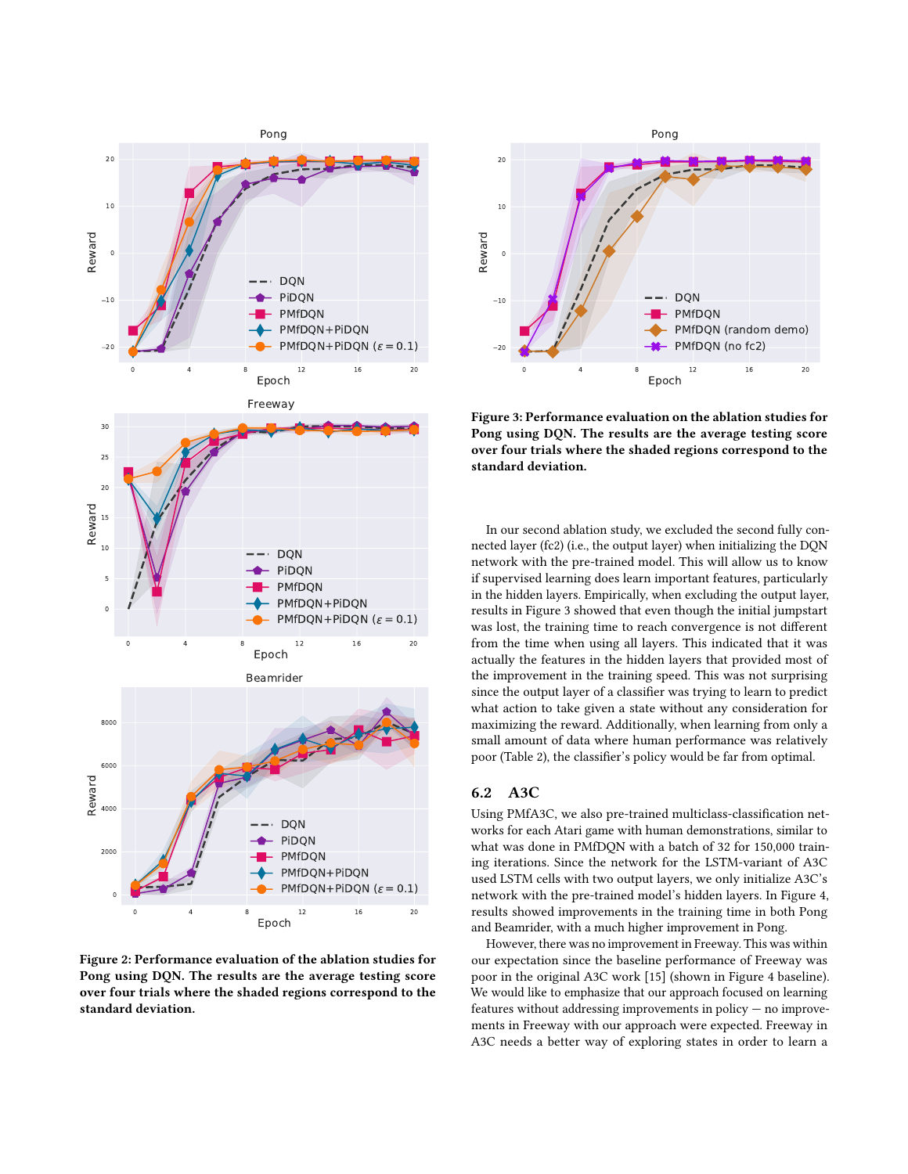<span id="page-4-0"></span>

Figure 2: Performance evaluation of the ablation studies for Pong using DQN. The results are the average testing score over four trials where the shaded regions correspond to the standard deviation.

<span id="page-4-1"></span>

Figure 3: Performance evaluation on the ablation studies for Pong using DQN. The results are the average testing score over four trials where the shaded regions correspond to the standard deviation.

In our second ablation study, we excluded the second fully connected layer (fc2) (i.e., the output layer) when initializing the DQN network with the pre-trained model. This will allow us to know if supervised learning does learn important features, particularly in the hidden layers. Empirically, when excluding the output layer, results in Figure [3](#page-4-1) showed that even though the initial jumpstart was lost, the training time to reach convergence is not different from the time when using all layers. This indicated that it was actually the features in the hidden layers that provided most of the improvement in the training speed. This was not surprising since the output layer of a classifier was trying to learn to predict what action to take given a state without any consideration for maximizing the reward. Additionally, when learning from only a small amount of data where human performance was relatively poor (Table [2\)](#page-3-0), the classifier's policy would be far from optimal.

## 6.2 A3C

Using PMfA3C, we also pre-trained multiclass-classification networks for each Atari game with human demonstrations, similar to what was done in PMfDQN with a batch of 32 for 150,000 training iterations. Since the network for the LSTM-variant of A3C used LSTM cells with two output layers, we only initialize A3C's network with the pre-trained model's hidden layers. In Figure [4,](#page-5-0) results showed improvements in the training time in both Pong and Beamrider, with a much higher improvement in Pong.

However, there was no improvement in Freeway. This was within our expectation since the baseline performance of Freeway was poor in the original A3C work [\[15\]](#page-7-0) (shown in Figure [4](#page-5-0) baseline). We would like to emphasize that our approach focused on learning features without addressing improvements in policy — no improvements in Freeway with our approach were expected. Freeway in A3C needs a better way of exploring states in order to learn a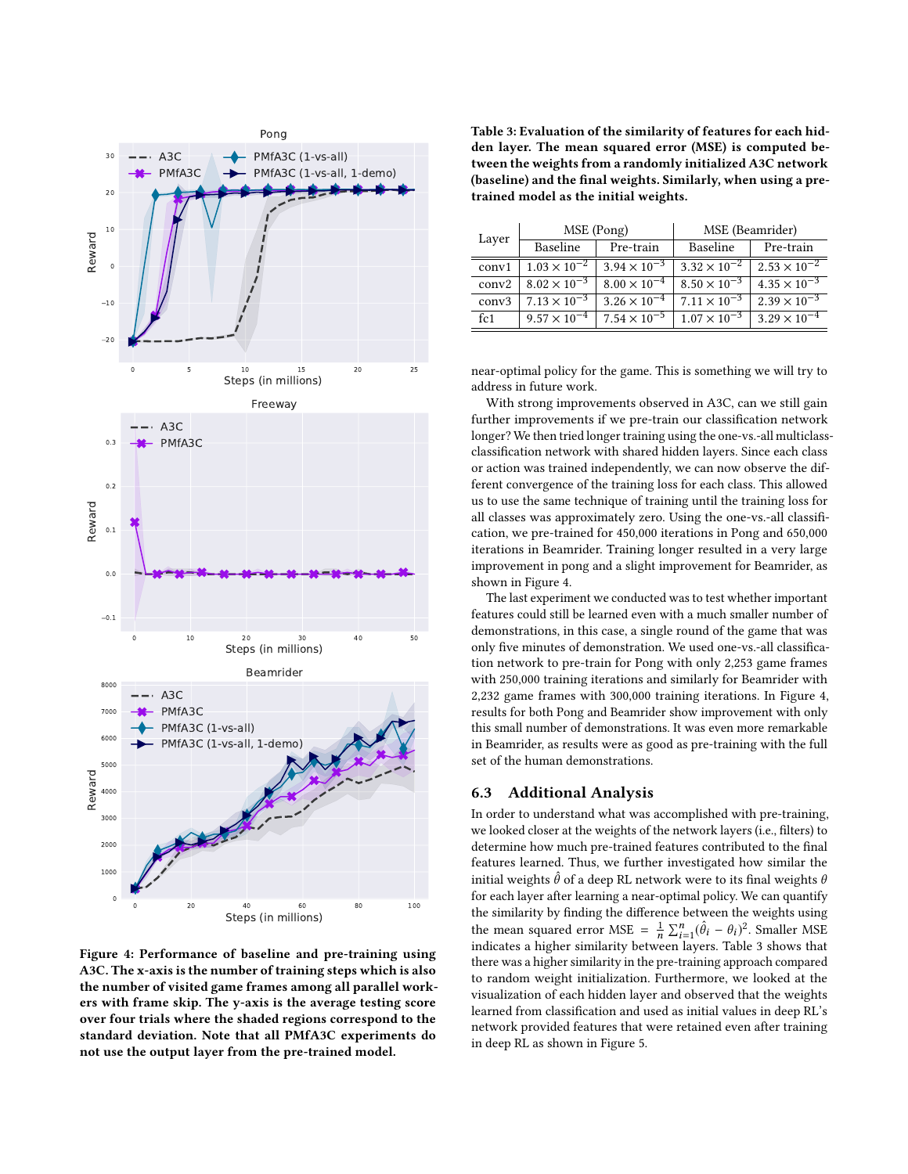<span id="page-5-0"></span>

Figure 4: Performance of baseline and pre-training using A3C. The x-axis is the number of training steps which is also the number of visited game frames among all parallel workers with frame skip. The y-axis is the average testing score over four trials where the shaded regions correspond to the standard deviation. Note that all PMfA3C experiments do not use the output layer from the pre-trained model.

<span id="page-5-1"></span>Table 3: Evaluation of the similarity of features for each hidden layer. The mean squared error (MSE) is computed between the weights from a randomly initialized A3C network (baseline) and the final weights. Similarly, when using a pretrained model as the initial weights.

| MSE (Pong)            |                       | MSE (Beamrider)       |                       |
|-----------------------|-----------------------|-----------------------|-----------------------|
| Baseline              | Pre-train             | Baseline              | Pre-train             |
| $1.03 \times 10^{-2}$ | $3.94 \times 10^{-3}$ | $3.32 \times 10^{-2}$ | $2.53 \times 10^{-2}$ |
| $8.02 \times 10^{-3}$ | $8.00 \times 10^{-4}$ | $8.50 \times 10^{-3}$ | $4.35 \times 10^{-3}$ |
| $7.13 \times 10^{-3}$ | $3.26 \times 10^{-4}$ | $7.11 \times 10^{-3}$ | $2.39 \times 10^{-3}$ |
| $9.57 \times 10^{-4}$ | $7.54 \times 10^{-5}$ | $1.07 \times 10^{-3}$ | $3.29 \times 10^{-4}$ |
|                       |                       |                       |                       |

near-optimal policy for the game. This is something we will try to address in future work.

With strong improvements observed in A3C, can we still gain further improvements if we pre-train our classification network longer? We then tried longer training using the one-vs.-all multiclassclassification network with shared hidden layers. Since each class or action was trained independently, we can now observe the different convergence of the training loss for each class. This allowed us to use the same technique of training until the training loss for all classes was approximately zero. Using the one-vs.-all classification, we pre-trained for 450,000 iterations in Pong and 650,000 iterations in Beamrider. Training longer resulted in a very large improvement in pong and a slight improvement for Beamrider, as shown in Figure [4.](#page-5-0)

The last experiment we conducted was to test whether important features could still be learned even with a much smaller number of demonstrations, in this case, a single round of the game that was only five minutes of demonstration. We used one-vs.-all classification network to pre-train for Pong with only 2,253 game frames with 250,000 training iterations and similarly for Beamrider with 2,232 game frames with 300,000 training iterations. In Figure [4,](#page-5-0) results for both Pong and Beamrider show improvement with only this small number of demonstrations. It was even more remarkable in Beamrider, as results were as good as pre-training with the full set of the human demonstrations.

## 6.3 Additional Analysis

In order to understand what was accomplished with pre-training, we looked closer at the weights of the network layers (i.e., filters) to determine how much pre-trained features contributed to the final features learned. Thus, we further investigated how similar the initial weights  $\hat{\theta}$  of a deep RL network were to its final weights  $\theta$ for each layer after learning a near-optimal policy. We can quantify the similarity by finding the difference between the weights using the mean squared error MSE =  $\frac{1}{n} \sum_{i=1}^{n} (\hat{\theta}_i - \theta_i)^2$ . Smaller MSE ine mean squared error *MSE*  $=$   $\frac{\pi}{n} \sum_{i=1}^{n} (v_i - v_i)$ . Smaller MSE indicates a higher similarity between layers. Table [3](#page-5-1) shows that there was a higher similarity in the pre-training approach compared to random weight initialization. Furthermore, we looked at the visualization of each hidden layer and observed that the weights learned from classification and used as initial values in deep RL's network provided features that were retained even after training in deep RL as shown in Figure [5.](#page-6-0)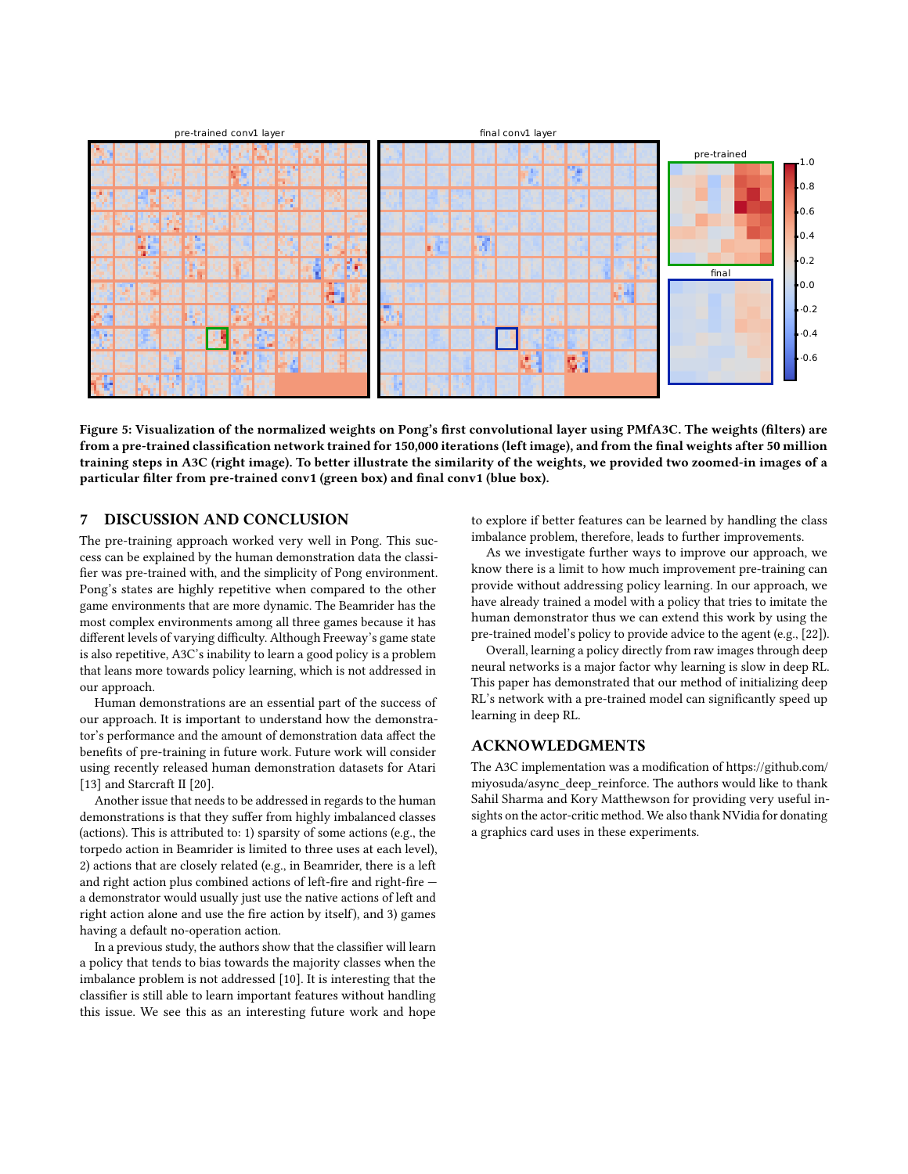<span id="page-6-0"></span>

Figure 5: Visualization of the normalized weights on Pong's first convolutional layer using PMfA3C. The weights (filters) are from a pre-trained classification network trained for 150,000 iterations (left image), and from the final weights after 50 million training steps in A3C (right image). To better illustrate the similarity of the weights, we provided two zoomed-in images of a particular filter from pre-trained conv1 (green box) and final conv1 (blue box).

# 7 DISCUSSION AND CONCLUSION

The pre-training approach worked very well in Pong. This success can be explained by the human demonstration data the classifier was pre-trained with, and the simplicity of Pong environment. Pong's states are highly repetitive when compared to the other game environments that are more dynamic. The Beamrider has the most complex environments among all three games because it has different levels of varying difficulty. Although Freeway's game state is also repetitive, A3C's inability to learn a good policy is a problem that leans more towards policy learning, which is not addressed in our approach.

Human demonstrations are an essential part of the success of our approach. It is important to understand how the demonstrator's performance and the amount of demonstration data affect the benefits of pre-training in future work. Future work will consider using recently released human demonstration datasets for Atari [\[13\]](#page-7-5) and Starcraft II [\[20\]](#page-7-6).

Another issue that needs to be addressed in regards to the human demonstrations is that they suffer from highly imbalanced classes (actions). This is attributed to: 1) sparsity of some actions (e.g., the torpedo action in Beamrider is limited to three uses at each level), 2) actions that are closely related (e.g., in Beamrider, there is a left and right action plus combined actions of left-fire and right-fire a demonstrator would usually just use the native actions of left and right action alone and use the fire action by itself), and 3) games having a default no-operation action.

In a previous study, the authors show that the classifier will learn a policy that tends to bias towards the majority classes when the imbalance problem is not addressed [\[10\]](#page-7-22). It is interesting that the classifier is still able to learn important features without handling this issue. We see this as an interesting future work and hope to explore if better features can be learned by handling the class imbalance problem, therefore, leads to further improvements.

As we investigate further ways to improve our approach, we know there is a limit to how much improvement pre-training can provide without addressing policy learning. In our approach, we have already trained a model with a policy that tries to imitate the human demonstrator thus we can extend this work by using the pre-trained model's policy to provide advice to the agent (e.g., [\[22\]](#page-7-23)).

Overall, learning a policy directly from raw images through deep neural networks is a major factor why learning is slow in deep RL. This paper has demonstrated that our method of initializing deep RL's network with a pre-trained model can significantly speed up learning in deep RL.

## ACKNOWLEDGMENTS

The A3C implementation was a modification of [https://github.com/](https://github.com/miyosuda/async_deep_reinforce) [miyosuda/async\\_deep\\_reinforce.](https://github.com/miyosuda/async_deep_reinforce) The authors would like to thank Sahil Sharma and Kory Matthewson for providing very useful insights on the actor-critic method. We also thank NVidia for donating a graphics card uses in these experiments.